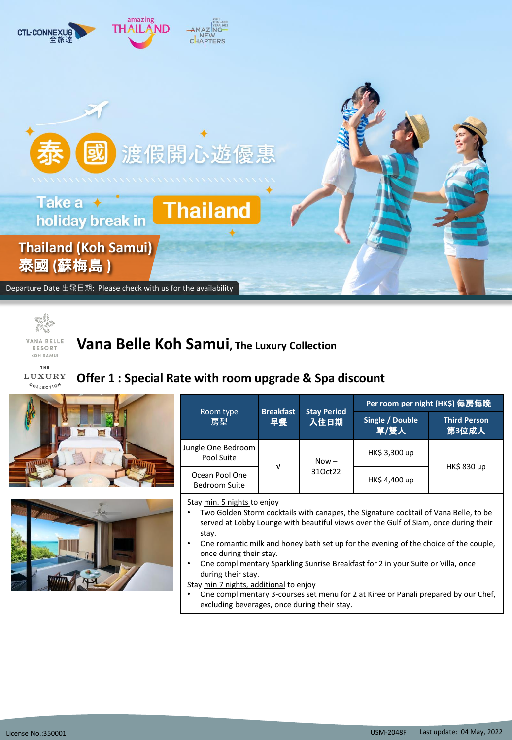



KOH SAMUI

**Vana Belle Koh Samui, The Luxury Collection**

**THE** LUXURY COLLECTION

## **Offer 1 : Special Rate with room upgrade & Spa discount**





| Room type<br>房型                        | <b>Breakfast</b><br>早餐 | <b>Stay Period</b><br>入住日期 | Per room per night (HK\$) 每房每晚 |                              |  |  |
|----------------------------------------|------------------------|----------------------------|--------------------------------|------------------------------|--|--|
|                                        |                        |                            | Single / Double<br>單/雙人        | <b>Third Person</b><br>第3位成人 |  |  |
| Jungle One Bedroom<br>Pool Suite       |                        | $Now -$<br>310ct22         | HK\$ 3,300 up                  | <b>HK\$ 830 up</b>           |  |  |
| Ocean Pool One<br><b>Bedroom Suite</b> | $\sqrt{ }$             |                            | HK\$4,400 up                   |                              |  |  |

Stay min. 5 nights to enjoy

- Two Golden Storm cocktails with canapes, the Signature cocktail of Vana Belle, to be served at Lobby Lounge with beautiful views over the Gulf of Siam, once during their stay.
- One romantic milk and honey bath set up for the evening of the choice of the couple, once during their stay.
- One complimentary Sparkling Sunrise Breakfast for 2 in your Suite or Villa, once during their stay.

Stay min 7 nights, additional to enjoy

• One complimentary 3-courses set menu for 2 at Kiree or Panali prepared by our Chef, excluding beverages, once during their stay.